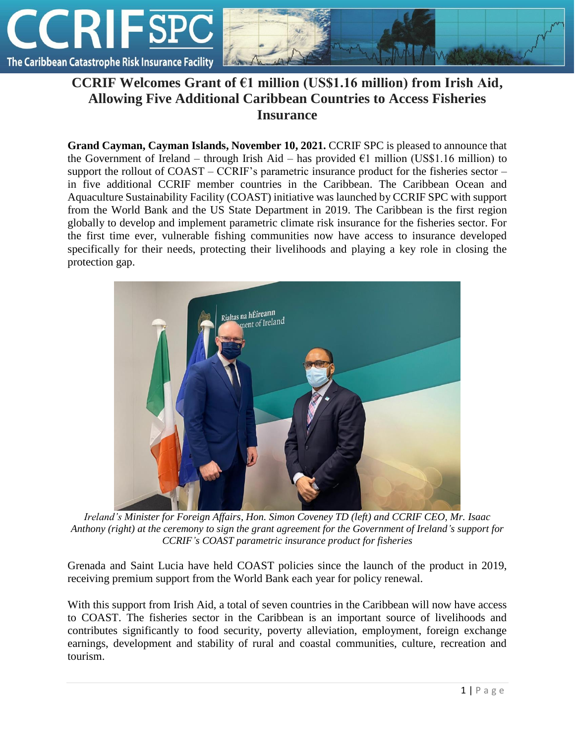

## **CCRIF Welcomes Grant of €1 million (US\$1.16 million) from Irish Aid, Allowing Five Additional Caribbean Countries to Access Fisheries Insurance**

**Grand Cayman, Cayman Islands, November 10, 2021.** CCRIF SPC is pleased to announce that the Government of Ireland – through Irish Aid – has provided  $\epsilon$ 1 million (US\$1.16 million) to support the rollout of COAST – CCRIF's parametric insurance product for the fisheries sector – in five additional CCRIF member countries in the Caribbean. The Caribbean Ocean and Aquaculture Sustainability Facility (COAST) initiative was launched by CCRIF SPC with support from the World Bank and the US State Department in 2019. The Caribbean is the first region globally to develop and implement parametric climate risk insurance for the fisheries sector. For the first time ever, vulnerable fishing communities now have access to insurance developed specifically for their needs, protecting their livelihoods and playing a key role in closing the protection gap.



*Ireland's Minister for Foreign Affairs, Hon. Simon Coveney TD (left) and CCRIF CEO, Mr. Isaac Anthony (right) at the ceremony to sign the grant agreement for the Government of Ireland's support for CCRIF's COAST parametric insurance product for fisheries*

Grenada and Saint Lucia have held COAST policies since the launch of the product in 2019, receiving premium support from the World Bank each year for policy renewal.

With this support from Irish Aid, a total of seven countries in the Caribbean will now have access to COAST. The fisheries sector in the Caribbean is an important source of livelihoods and contributes significantly to food security, poverty alleviation, employment, foreign exchange earnings, development and stability of rural and coastal communities, culture, recreation and tourism.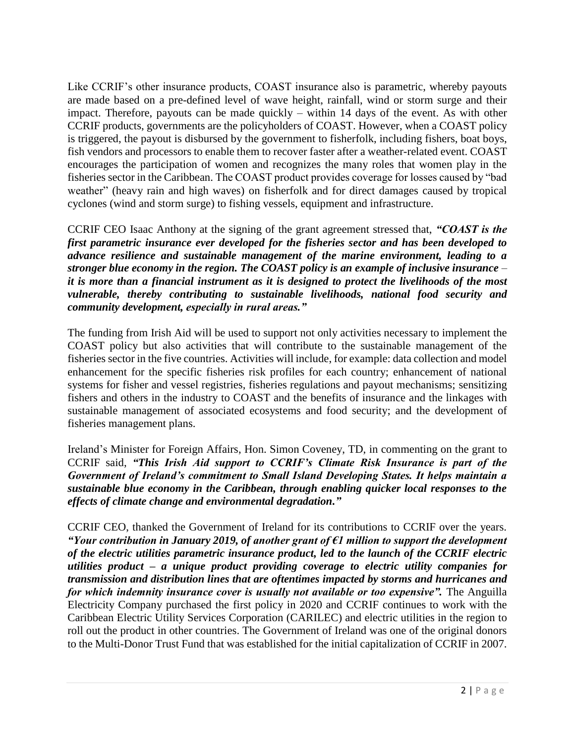Like CCRIF's other insurance products, COAST insurance also is parametric, whereby payouts are made based on a pre-defined level of wave height, rainfall, wind or storm surge and their impact. Therefore, payouts can be made quickly – within 14 days of the event. As with other CCRIF products, governments are the policyholders of COAST. However, when a COAST policy is triggered, the payout is disbursed by the government to fisherfolk, including fishers, boat boys, fish vendors and processors to enable them to recover faster after a weather-related event. COAST encourages the participation of women and recognizes the many roles that women play in the fisheries sector in the Caribbean. The COAST product provides coverage for losses caused by "bad weather" (heavy rain and high waves) on fisherfolk and for direct damages caused by tropical cyclones (wind and storm surge) to fishing vessels, equipment and infrastructure.

CCRIF CEO Isaac Anthony at the signing of the grant agreement stressed that, *"COAST is the first parametric insurance ever developed for the fisheries sector and has been developed to advance resilience and sustainable management of the marine environment, leading to a stronger blue economy in the region. The COAST policy is an example of inclusive insurance* – *it is more than a financial instrument as it is designed to protect the livelihoods of the most vulnerable, thereby contributing to sustainable livelihoods, national food security and community development, especially in rural areas."*

The funding from Irish Aid will be used to support not only activities necessary to implement the COAST policy but also activities that will contribute to the sustainable management of the fisheries sector in the five countries. Activities will include, for example: data collection and model enhancement for the specific fisheries risk profiles for each country; enhancement of national systems for fisher and vessel registries, fisheries regulations and payout mechanisms; sensitizing fishers and others in the industry to COAST and the benefits of insurance and the linkages with sustainable management of associated ecosystems and food security; and the development of fisheries management plans.

Ireland's Minister for Foreign Affairs, Hon. Simon Coveney, TD, in commenting on the grant to CCRIF said, *"This Irish Aid support to CCRIF's Climate Risk Insurance is part of the Government of Ireland's commitment to Small Island Developing States. It helps maintain a sustainable blue economy in the Caribbean, through enabling quicker local responses to the effects of climate change and environmental degradation."*

CCRIF CEO, thanked the Government of Ireland for its contributions to CCRIF over the years. *"Your contribution in January 2019, of another grant of €1 million to support the development of the electric utilities parametric insurance product, led to the launch of the CCRIF electric utilities product – a unique product providing coverage to electric utility companies for transmission and distribution lines that are oftentimes impacted by storms and hurricanes and for which indemnity insurance cover is usually not available or too expensive".* The Anguilla Electricity Company purchased the first policy in 2020 and CCRIF continues to work with the Caribbean Electric Utility Services Corporation (CARILEC) and electric utilities in the region to roll out the product in other countries. The Government of Ireland was one of the original donors to the Multi-Donor Trust Fund that was established for the initial capitalization of CCRIF in 2007.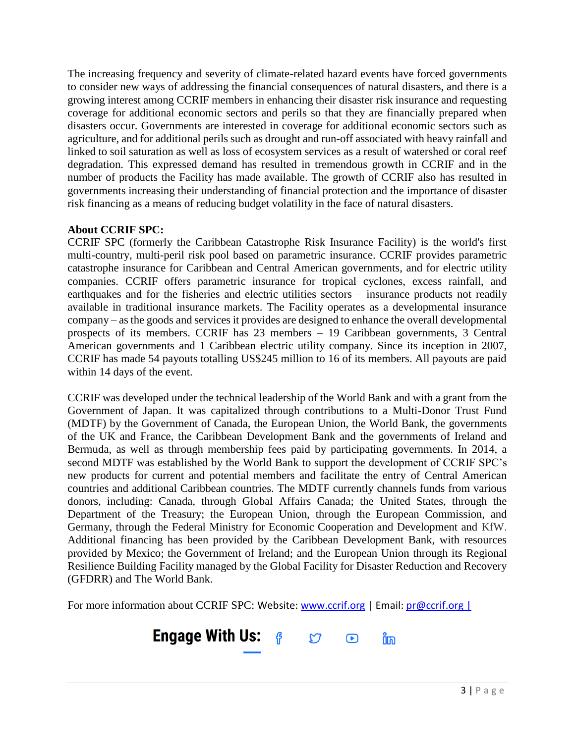The increasing frequency and severity of climate-related hazard events have forced governments to consider new ways of addressing the financial consequences of natural disasters, and there is a growing interest among CCRIF members in enhancing their disaster risk insurance and requesting coverage for additional economic sectors and perils so that they are financially prepared when disasters occur. Governments are interested in coverage for additional economic sectors such as agriculture, and for additional perils such as drought and run-off associated with heavy rainfall and linked to soil saturation as well as loss of ecosystem services as a result of watershed or coral reef degradation. This expressed demand has resulted in tremendous growth in CCRIF and in the number of products the Facility has made available. The growth of CCRIF also has resulted in governments increasing their understanding of financial protection and the importance of disaster risk financing as a means of reducing budget volatility in the face of natural disasters.

## **About CCRIF SPC:**

CCRIF SPC (formerly the Caribbean Catastrophe Risk Insurance Facility) is the world's first multi-country, multi-peril risk pool based on parametric insurance. CCRIF provides parametric catastrophe insurance for Caribbean and Central American governments, and for electric utility companies. CCRIF offers parametric insurance for tropical cyclones, excess rainfall, and earthquakes and for the fisheries and electric utilities sectors – insurance products not readily available in traditional insurance markets. The Facility operates as a developmental insurance company – as the goods and services it provides are designed to enhance the overall developmental prospects of its members. CCRIF has 23 members – 19 Caribbean governments, 3 Central American governments and 1 Caribbean electric utility company. Since its inception in 2007, CCRIF has made 54 payouts totalling US\$245 million to 16 of its members. All payouts are paid within 14 days of the event.

CCRIF was developed under the technical leadership of the World Bank and with a grant from the Government of Japan. It was capitalized through contributions to a Multi-Donor Trust Fund (MDTF) by the Government of Canada, the European Union, the World Bank, the governments of the UK and France, the Caribbean Development Bank and the governments of Ireland and Bermuda, as well as through membership fees paid by participating governments. In 2014, a second MDTF was established by the World Bank to support the development of CCRIF SPC's new products for current and potential members and facilitate the entry of Central American countries and additional Caribbean countries. The MDTF currently channels funds from various donors, including: Canada, through Global Affairs Canada; the United States, through the Department of the Treasury; the European Union, through the European Commission, and Germany, through the Federal Ministry for Economic Cooperation and Development and KfW. Additional financing has been provided by the Caribbean Development Bank, with resources provided by Mexico; the Government of Ireland; and the European Union through its Regional Resilience Building Facility managed by the Global Facility for Disaster Reduction and Recovery (GFDRR) and The World Bank.

For more information about CCRIF SPC: Website: [www.ccrif.org](http://www.ccrif.org/) | Email:  $\frac{p}{\omega}$ ccrif.org |